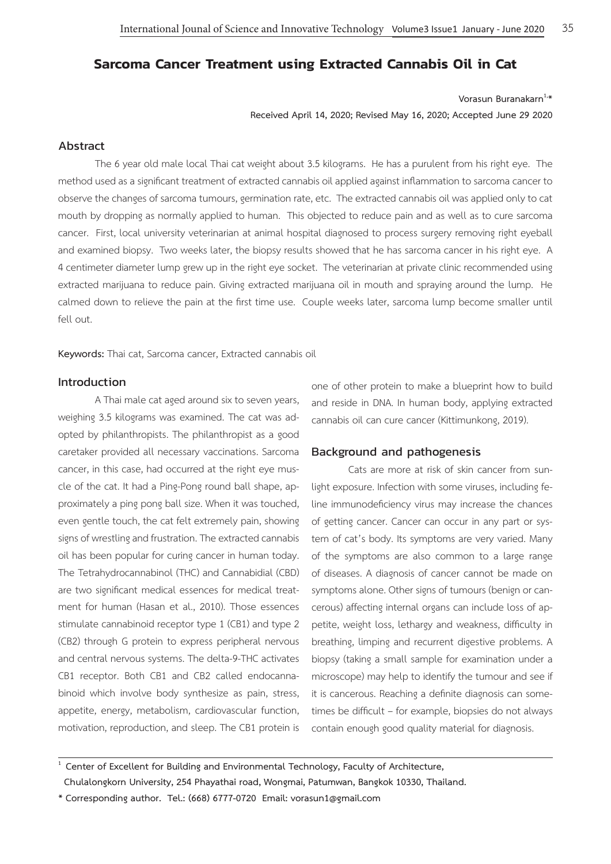# **Sarcoma Cancer Treatment using Extracted Cannabis Oil in Cat**

Vorasun Buranakarn<sup>1,\*</sup>

**Received April 14, 2020; Revised May 16, 2020; Accepted June 29 2020**

## Abstract

The 6 year old male local Thai cat weight about 3.5 kilograms. He has a purulent from his right eye. The method used as a significant treatment of extracted cannabis oil applied against inflammation to sarcoma cancer to observe the changes of sarcoma tumours, germination rate, etc. The extracted cannabis oil was applied only to cat mouth by dropping as normally applied to human. This objected to reduce pain and as well as to cure sarcoma cancer. First, local university veterinarian at animal hospital diagnosed to process surgery removing right eyeball and examined biopsy. Two weeks later, the biopsy results showed that he has sarcoma cancer in his right eye. A 4 centimeter diameter lump grew up in the right eye socket. The veterinarian at private clinic recommended using extracted marijuana to reduce pain. Giving extracted marijuana oil in mouth and spraying around the lump. He calmed down to relieve the pain at the first time use. Couple weeks later, sarcoma lump become smaller until fell out.

**Keywords:** Thai cat, Sarcoma cancer, Extracted cannabis oil

## Introduction

A Thai male cat aged around six to seven years, weighing 3.5 kilograms was examined. The cat was adopted by philanthropists. The philanthropist as a good caretaker provided all necessary vaccinations. Sarcoma cancer, in this case, had occurred at the right eye muscle of the cat. It had a Ping-Pong round ball shape, approximately a ping pong ball size. When it was touched, even gentle touch, the cat felt extremely pain, showing signs of wrestling and frustration. The extracted cannabis oil has been popular for curing cancer in human today. The Tetrahydrocannabinol (THC) and Cannabidial (CBD) are two significant medical essences for medical treatment for human (Hasan et al., 2010). Those essences stimulate cannabinoid receptor type 1 (CB1) and type 2 (CB2) through G protein to express peripheral nervous and central nervous systems. The delta-9-THC activates CB1 receptor. Both CB1 and CB2 called endocannabinoid which involve body synthesize as pain, stress, appetite, energy, metabolism, cardiovascular function, motivation, reproduction, and sleep. The CB1 protein is one of other protein to make a blueprint how to build and reside in DNA. In human body, applying extracted cannabis oil can cure cancer (Kittimunkong, 2019).

## Background and pathogenesis

Cats are more at risk of skin cancer from sunlight exposure. Infection with some viruses, including feline immunodeficiency virus may increase the chances of getting cancer. Cancer can occur in any part or system of cat's body. Its symptoms are very varied. Many of the symptoms are also common to a large range of diseases. A diagnosis of cancer cannot be made on symptoms alone. Other signs of tumours (benign or cancerous) affecting internal organs can include loss of appetite, weight loss, lethargy and weakness, difficulty in breathing, limping and recurrent digestive problems. A biopsy (taking a small sample for examination under a microscope) may help to identify the tumour and see if it is cancerous. Reaching a definite diagnosis can sometimes be difficult – for example, biopsies do not always contain enough good quality material for diagnosis.

**1 Center of Excellent for Building and Environmental Technology, Faculty of Architecture, Chulalongkorn University, 254 Phayathai road, Wongmai, Patumwan, Bangkok 10330, Thailand.**

**\* Corresponding author. Tel.: (668) 6777-0720 Email: vorasun1@gmail.com**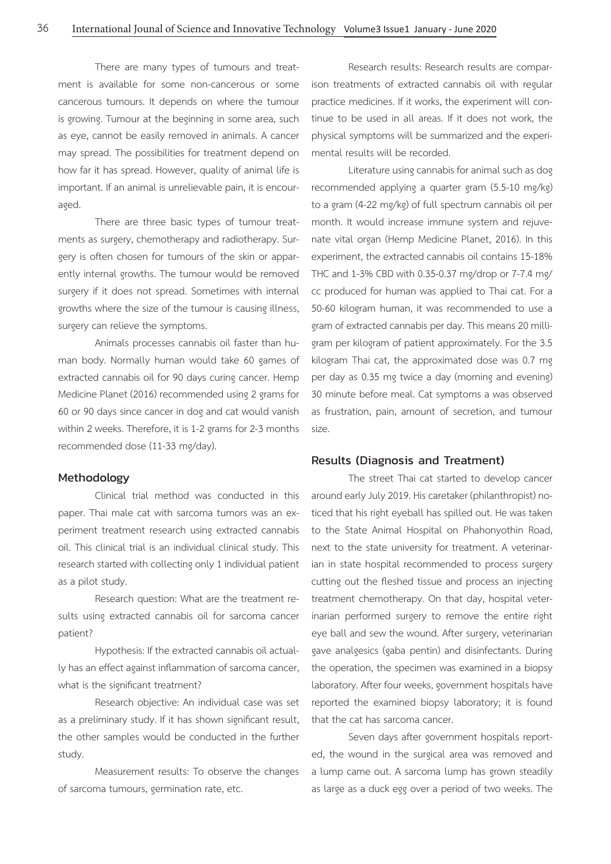There are many types of tumours and treatment is available for some non-cancerous or some cancerous tumours. It depends on where the tumour is growing. Tumour at the beginning in some area, such as eye, cannot be easily removed in animals. A cancer may spread. The possibilities for treatment depend on how far it has spread. However, quality of animal life is important. If an animal is unrelievable pain, it is encouraged.

There are three basic types of tumour treatments as surgery, chemotherapy and radiotherapy. Surgery is often chosen for tumours of the skin or apparently internal growths. The tumour would be removed surgery if it does not spread. Sometimes with internal growths where the size of the tumour is causing illness, surgery can relieve the symptoms.

Animals processes cannabis oil faster than human body. Normally human would take 60 games of extracted cannabis oil for 90 days curing cancer. Hemp Medicine Planet (2016) recommended using 2 grams for 60 or 90 days since cancer in dog and cat would vanish within 2 weeks. Therefore, it is 1-2 grams for 2-3 months recommended dose (11-33 mg/day).

## Methodology

Clinical trial method was conducted in this paper. Thai male cat with sarcoma tumors was an experiment treatment research using extracted cannabis oil. This clinical trial is an individual clinical study. This research started with collecting only 1 individual patient as a pilot study.

Research question: What are the treatment results using extracted cannabis oil for sarcoma cancer patient?

Hypothesis: If the extracted cannabis oil actually has an effect against inflammation of sarcoma cancer, what is the significant treatment?

Research objective: An individual case was set as a preliminary study. If it has shown significant result, the other samples would be conducted in the further study.

Measurement results: To observe the changes of sarcoma tumours, germination rate, etc.

Research results: Research results are comparison treatments of extracted cannabis oil with regular practice medicines. If it works, the experiment will continue to be used in all areas. If it does not work, the physical symptoms will be summarized and the experimental results will be recorded.

Literature using cannabis for animal such as dog recommended applying a quarter gram (5.5-10 mg/kg) to a gram (4-22 mg/kg) of full spectrum cannabis oil per month. It would increase immune system and rejuvenate vital organ (Hemp Medicine Planet, 2016). In this experiment, the extracted cannabis oil contains 15-18% THC and 1-3% CBD with 0.35-0.37 mg/drop or 7-7.4 mg/ cc produced for human was applied to Thai cat. For a 50-60 kilogram human, it was recommended to use a gram of extracted cannabis per day. This means 20 milligram per kilogram of patient approximately. For the 3.5 kilogram Thai cat, the approximated dose was 0.7 mg per day as 0.35 mg twice a day (morning and evening) 30 minute before meal. Cat symptoms a was observed as frustration, pain, amount of secretion, and tumour size.

## Results (Diagnosis and Treatment)

The street Thai cat started to develop cancer around early July 2019. His caretaker (philanthropist) noticed that his right eyeball has spilled out. He was taken to the State Animal Hospital on Phahonyothin Road, next to the state university for treatment. A veterinarian in state hospital recommended to process surgery cutting out the fleshed tissue and process an injecting treatment chemotherapy. On that day, hospital veterinarian performed surgery to remove the entire right eye ball and sew the wound. After surgery, veterinarian gave analgesics (gaba pentin) and disinfectants. During the operation, the specimen was examined in a biopsy laboratory. After four weeks, government hospitals have reported the examined biopsy laboratory; it is found that the cat has sarcoma cancer.

Seven days after government hospitals reported, the wound in the surgical area was removed and a lump came out. A sarcoma lump has grown steadily as large as a duck egg over a period of two weeks. The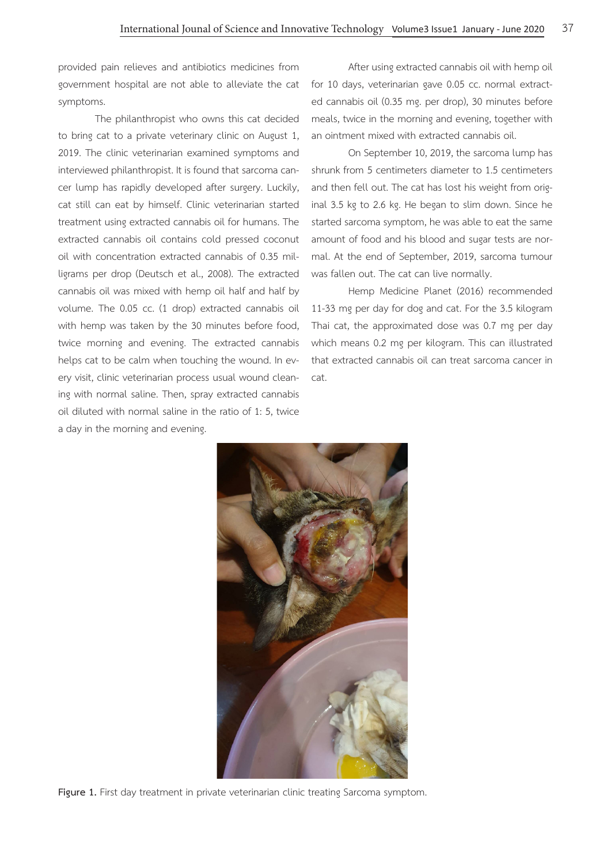provided pain relieves and antibiotics medicines from government hospital are not able to alleviate the cat symptoms.

The philanthropist who owns this cat decided to bring cat to a private veterinary clinic on August 1, 2019. The clinic veterinarian examined symptoms and interviewed philanthropist. It is found that sarcoma cancer lump has rapidly developed after surgery. Luckily, cat still can eat by himself. Clinic veterinarian started treatment using extracted cannabis oil for humans. The extracted cannabis oil contains cold pressed coconut oil with concentration extracted cannabis of 0.35 milligrams per drop (Deutsch et al., 2008). The extracted cannabis oil was mixed with hemp oil half and half by volume. The 0.05 cc. (1 drop) extracted cannabis oil with hemp was taken by the 30 minutes before food, twice morning and evening. The extracted cannabis helps cat to be calm when touching the wound. In every visit, clinic veterinarian process usual wound cleaning with normal saline. Then, spray extracted cannabis oil diluted with normal saline in the ratio of 1: 5, twice a day in the morning and evening.

After using extracted cannabis oil with hemp oil for 10 days, veterinarian gave 0.05 cc. normal extracted cannabis oil (0.35 mg. per drop), 30 minutes before meals, twice in the morning and evening, together with an ointment mixed with extracted cannabis oil.

On September 10, 2019, the sarcoma lump has shrunk from 5 centimeters diameter to 1.5 centimeters and then fell out. The cat has lost his weight from original 3.5 kg to 2.6 kg. He began to slim down. Since he started sarcoma symptom, he was able to eat the same amount of food and his blood and sugar tests are normal. At the end of September, 2019, sarcoma tumour was fallen out. The cat can live normally.

Hemp Medicine Planet (2016) recommended 11-33 mg per day for dog and cat. For the 3.5 kilogram Thai cat, the approximated dose was 0.7 mg per day which means 0.2 mg per kilogram. This can illustrated that extracted cannabis oil can treat sarcoma cancer in cat.



Figure 1. First day treatment in private veterinarian clinic treating Sarcoma symptom.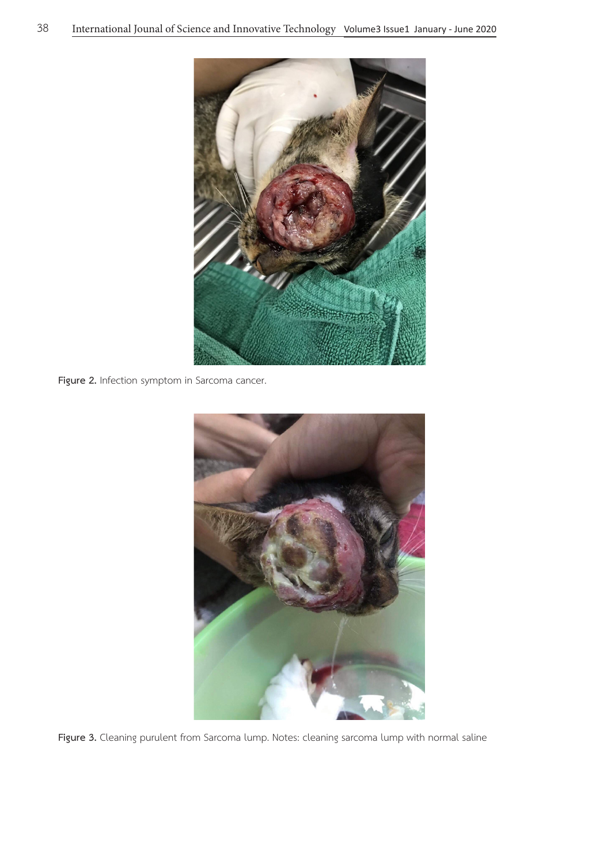

**Figure 2.** Infection symptom in Sarcoma cancer.



Figure 3. Cleaning purulent from Sarcoma lump. Notes: cleaning sarcoma lump with normal saline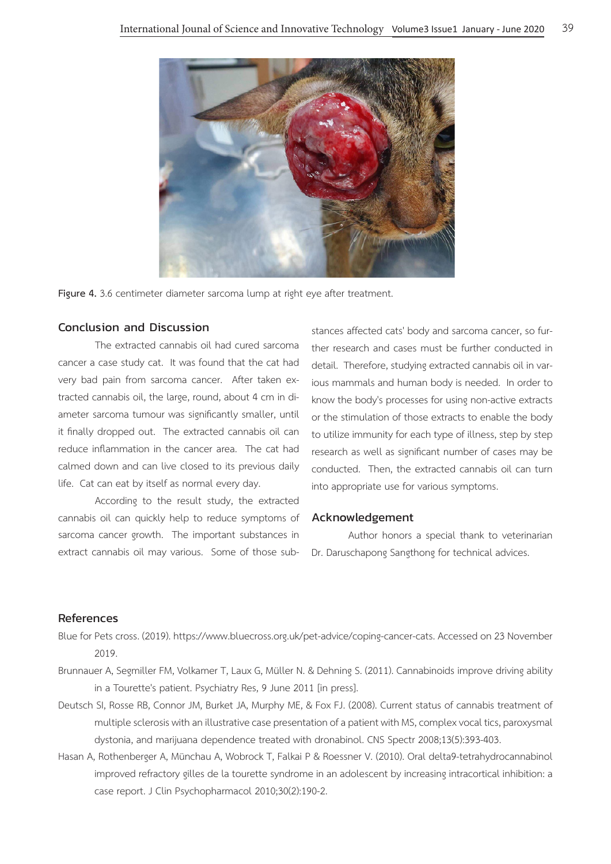

Figure 4. 3.6 centimeter diameter sarcoma lump at right eye after treatment.

## Conclusion and Discussion

The extracted cannabis oil had cured sarcoma cancer a case study cat. It was found that the cat had very bad pain from sarcoma cancer. After taken extracted cannabis oil, the large, round, about 4 cm in diameter sarcoma tumour was significantly smaller, until it finally dropped out. The extracted cannabis oil can reduce inflammation in the cancer area. The cat had calmed down and can live closed to its previous daily life. Cat can eat by itself as normal every day.

According to the result study, the extracted cannabis oil can quickly help to reduce symptoms of sarcoma cancer growth. The important substances in extract cannabis oil may various. Some of those sub-

stances affected cats' body and sarcoma cancer, so further research and cases must be further conducted in detail. Therefore, studying extracted cannabis oil in various mammals and human body is needed. In order to know the body's processes for using non-active extracts or the stimulation of those extracts to enable the body to utilize immunity for each type of illness, step by step research as well as significant number of cases may be conducted. Then, the extracted cannabis oil can turn into appropriate use for various symptoms.

## Acknowledgement

Author honors a special thank to veterinarian Dr. Daruschapong Sangthong for technical advices.

## References

- Blue for Pets cross. (2019). https://www.bluecross.org.uk/pet-advice/coping-cancer-cats. Accessed on 23 November 2019.
- Brunnauer A, Segmiller FM, Volkamer T, Laux G, Müller N. & Dehning S. (2011). Cannabinoids improve driving ability in a Tourette's patient. Psychiatry Res, 9 June 2011 [in press].
- Deutsch SI, Rosse RB, Connor JM, Burket JA, Murphy ME, & Fox FJ. (2008). Current status of cannabis treatment of multiple sclerosis with an illustrative case presentation of a patient with MS, complex vocal tics, paroxysmal dystonia, and marijuana dependence treated with dronabinol. CNS Spectr 2008;13(5):393-403.
- Hasan A, Rothenberger A, Münchau A, Wobrock T, Falkai P & Roessner V. (2010). Oral delta9-tetrahydrocannabinol improved refractory gilles de la tourette syndrome in an adolescent by increasing intracortical inhibition: a case report. J Clin Psychopharmacol 2010;30(2):190-2.